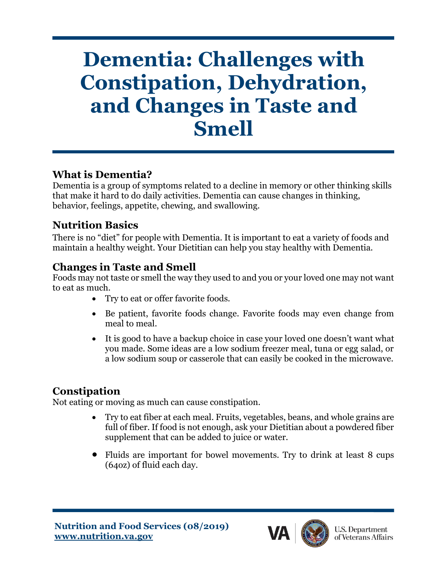# **Dementia: Challenges with Constipation, Dehydration, and Changes in Taste and Smell**

## **What is Dementia?**

Dementia is a group of symptoms related to a decline in memory or other thinking skills that make it hard to do daily activities. Dementia can cause changes in thinking, behavior, feelings, appetite, chewing, and swallowing.

### **Nutrition Basics**

There is no "diet" for people with Dementia. It is important to eat a variety of foods and maintain a healthy weight. Your Dietitian can help you stay healthy with Dementia.

### **Changes in Taste and Smell**

Foods may not taste or smell the way they used to and you or your loved one may not want to eat as much.

- Try to eat or offer favorite foods.
- Be patient, favorite foods change. Favorite foods may even change from meal to meal.
- It is good to have a backup choice in case your loved one doesn't want what you made. Some ideas are a low sodium freezer meal, tuna or egg salad, or a low sodium soup or casserole that can easily be cooked in the microwave.

## **Constipation**

Not eating or moving as much can cause constipation.

- Try to eat fiber at each meal. Fruits, vegetables, beans, and whole grains are full of fiber. If food is not enough, ask your Dietitian about a powdered fiber supplement that can be added to juice or water.
- Fluids are important for bowel movements. Try to drink at least 8 cups (64oz) of fluid each day.